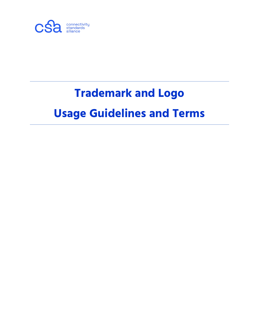

# **Trademark and Logo Usage Guidelines and Terms**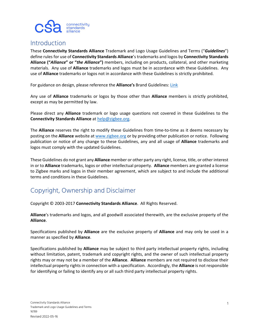

#### **Introduction**

These **Connectivity Standards Alliance** Trademark and Logo Usage Guidelines and Terms ("*Guidelines*") define rules for use of **Connectivity Standards Alliance**'s trademarks and logos by **Connectivity Standards Alliance ("***Alliance***" or "***the Alliance***")** members, including on products, collateral, and other marketing materials. Any use of **Alliance** trademarks and logos must be in accordance with these Guidelines. Any use of **Alliance** trademarks or logos not in accordance with these Guidelines is strictly prohibited.

For guidance on design, please reference the **Alliance's** Brand Guidelines[: Link](https://workspace.zigbee.org/higherlogic/ws/groups/zigbee_marketing/download/30771/latest)

Any use of **Alliance** trademarks or logos by those other than **Alliance** members is strictly prohibited, except as may be permitted by law.

Please direct any **Alliance** trademark or logo usage questions not covered in these Guidelines to the **Connectivity Standards Alliance** at help@zigbee.org.

The **Alliance** reserves the right to modify these Guidelines from time-to-time as it deems necessary by posting on the **Alliance** website at [www.zigbee.org](http://www.zigbee.org/) or by providing other publication or notice. Following publication or notice of any change to these Guidelines, any and all usage of **Alliance** trademarks and logos must comply with the updated Guidelines.

These Guidelines do not grant any **Alliance** member or other party any right, license, title, or other interest in or to **Alliance** trademarks, logos or other intellectual property. **Alliance** members are granted a license to Zigbee marks and logos in their member agreement, which are subject to and include the additional terms and conditions in these Guidelines.

#### Copyright, Ownership and Disclaimer

Copyright © 2003-2017 **Connectivity Standards Alliance**. All Rights Reserved.

**Alliance**'s trademarks and logos, and all goodwill associated therewith, are the exclusive property of the **Alliance**.

Specifications published by **Alliance** are the exclusive property of **Alliance** and may only be used in a manner as specified by **Alliance**.

Specifications published by **Alliance** may be subject to third party intellectual property rights, including without limitation, patent, trademark and copyright rights, and the owner of such intellectual property rights may or may not be a member of the **Alliance**. **Alliance** members are not required to disclose their intellectual property rights in connection with a specification. Accordingly, the **Alliance** is not responsible for identifying or failing to identify any or all such third party intellectual property rights.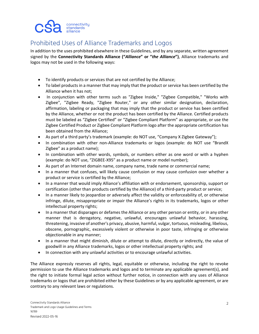

#### Prohibited Uses of Alliance Trademarks and Logos

In addition to the uses prohibited elsewhere in these Guidelines, and by any separate, written agreement signed by the **Connectivity Standards Alliance ("***Alliance***" or "***the Alliance***")**, Alliance trademarks and logos may not be used in the following ways:

- To identify products or services that are not certified by the Alliance;
- To label products in a manner that may imply that the product or service has been certified by the Alliance when it has not;
- In conjunction with other terms such as "Zigbee Inside," "Zigbee Compatible," "Works with Zigbee", "Zigbee Ready, "Zigbee Router," or any other similar designation, declaration, affirmation, labeling or packaging that may imply that the product or service has been certified by the Alliance, whether or not the product has been certified by the Alliance. Certified products must be labeled as "Zigbee Certified" or "Zigbee Compliant Platform" as appropriate, or use the Zigbee Certified Product or Zigbee Compliant Platform logo after the appropriate certification has been obtained from the Alliance;
- As part of a third party's trademark (example: do NOT use, "Company X Zigbee Gateway");
- In combination with other non-Alliance trademarks or logos (example: do NOT use "BrandX Zigbee" as a product name);
- In combination with other words, symbols, or numbers either as one word or with a hyphen (example: do NOT use, "ZIGBEE-X95" as a product name or model number);
- As part of an Internet domain name, company name, trade name or commercial name;
- In a manner that confuses, will likely cause confusion or may cause confusion over whether a product or service is certified by the Alliance;
- In a manner that would imply Alliance's affiliation with or endorsement, sponsorship, support or certification (other than products certified by the Alliance) of a third-party product or service;
- In a manner likely to jeopardize or adversely affect the validity or enforceability of, or otherwise infringe, dilute, misappropriate or impair the Alliance's rights in its trademarks, logos or other intellectual property rights;
- In a manner that disparages or defames the Alliance or any other person or entity, or in any other manner that is derogatory, negative, unlawful, encourages unlawful behavior, harassing, threatening, invasive of another's privacy, abusive, harmful, vulgar, tortuous, misleading, libelous, obscene, pornographic, excessively violent or otherwise in poor taste, infringing or otherwise objectionable in any manner;
- In a manner that might diminish, dilute or attempt to dilute, directly or indirectly, the value of goodwill in any Alliance trademarks, logos or other intellectual property rights; and
- In connection with any unlawful activities or to encourage unlawful activities.

The Alliance expressly reserves all rights, legal, equitable or otherwise, including the right to revoke permission to use the Alliance trademarks and logos and to terminate any applicable agreement(s), and the right to initiate formal legal action without further notice, in connection with any uses of Alliance trademarks or logos that are prohibited either by these Guidelines or by any applicable agreement, or are contrary to any relevant laws or regulations.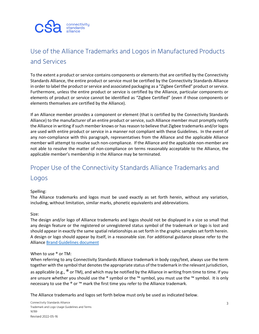

#### Use of the Alliance Trademarks and Logos in Manufactured Products and Services

To the extent a product or service contains components or elements that are certified by the Connectivity Standards Alliance, the entire product or service must be certified by the Connectivity Standards Alliance in order to label the product or service and associated packaging as a "Zigbee Certified" product or service. Furthermore, unless the entire product or service is certified by the Alliance, particular components or elements of product or service cannot be identified as "Zigbee Certified" (even if those components or elements themselves are certified by the Alliance).

If an Alliance member provides a component or element (that is certified by the Connectivity Standards Alliance) to the manufacturer of an entire product or service, such Alliance member must promptly notify the Alliance in writing if such member knows or has reason to believe that Zigbee trademarks and/or logos are used with entire product or service in a manner not compliant with these Guidelines. In the event of any non-compliance with this paragraph, representatives from the Alliance and the applicable Alliance member will attempt to resolve such non-compliance. If the Alliance and the applicable non-member are not able to resolve the matter of non-compliance on terms reasonably acceptable to the Alliance, the applicable member's membership in the Alliance may be terminated.

#### Proper Use of the Connectivity Standards Alliance Trademarks and Logos

#### Spelling:

The Alliance trademarks and logos must be used exactly as set forth herein, without any variation, including, without limitation, similar marks, phonetic equivalents and abbreviations.

#### Size:

The design and/or logo of Alliance trademarks and logos should not be displayed in a size so small that any design feature or the registered or unregistered status symbol of the trademark or logo is lost and should appear in exactly the same spatial relationships as set forth in the graphic samples set forth herein. A design or logo should appear by itself, in a reasonable size. For additional guidance please refer to the Allianc[e Brand Guidelines document](https://workspace.zigbee.org/higherlogic/ws/groups/zigbee_marketing/download/30771/latest)

#### When to use ® or TM:

When referring to any Connectivity Standards Alliance trademark in body copy/text, always use the term together with the symbol that denotes the appropriate status of the trademark in the relevant jurisdiction, as applicable (e.g.,  $^{\circledR}$  or TM), and which may be notified by the Alliance in writing from time to time. If you are unsure whether you should use the ® symbol or the ™ symbol, you must use the ™ symbol. It is only

The Alliance trademarks and logos set forth below must only be used as indicated below.

necessary to use the  $\bullet$  or  $\cdot \text{m}$  mark the first time you refer to the Alliance trademark.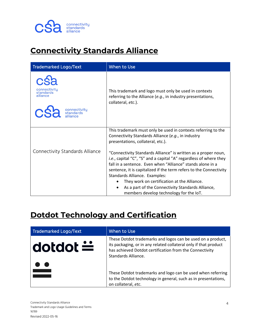

### **Connectivity Standards Alliance**

| <b>Trademarked Logo/Text</b>                                       | When to Use                                                                                                                                                                                                                                                                                                                                                                                                                                                                                                                                                                                                                      |
|--------------------------------------------------------------------|----------------------------------------------------------------------------------------------------------------------------------------------------------------------------------------------------------------------------------------------------------------------------------------------------------------------------------------------------------------------------------------------------------------------------------------------------------------------------------------------------------------------------------------------------------------------------------------------------------------------------------|
| connectivity<br>standards<br>alliance<br>connectivity<br>standards | This trademark and logo must only be used in contexts<br>referring to the Alliance (e.g., in industry presentations,<br>collateral, etc.).                                                                                                                                                                                                                                                                                                                                                                                                                                                                                       |
| Connectivity Standards Alliance                                    | This trademark must only be used in contexts referring to the<br>Connectivity Standards Alliance (e.g., in industry<br>presentations, collateral, etc.).<br>"Connectivity Standards Alliance" is written as a proper noun,<br>i.e., capital "C", "S" and a capital "A" regardless of where they<br>fall in a sentence. Even when "Alliance" stands alone in a<br>sentence, it is capitalized if the term refers to the Connectivity<br>Standards Alliance. Examples:<br>They work on certification at the Alliance.<br>As a part of the Connectivity Standards Alliance,<br>$\bullet$<br>members develop technology for the IoT. |

### **Dotdot Technology and Certification**

| Trademarked Logo/Text | When to Use                                                                                                                                                                                                       |
|-----------------------|-------------------------------------------------------------------------------------------------------------------------------------------------------------------------------------------------------------------|
| dotdot $\div$         | These Dotdot trademarks and logos can be used on a product,<br>its packaging, or in any related collateral only if that product<br>has achieved Dotdot certification from the Connectivity<br>Standards Alliance. |
|                       | These Dotdot trademarks and logo can be used when referring<br>to the Dotdot technology in general, such as in presentations,<br>on collateral, etc.                                                              |

Connectivity Standards Alliance Trademark and Logo Usage Guidelines and Terms 16789 Revised 2022-05-16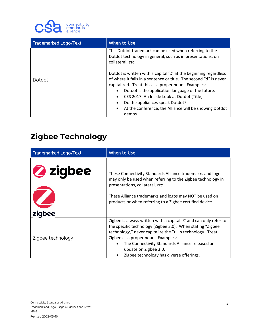

| <b>Trademarked Logo/Text</b> | When to Use                                                                                                                                                                                                                                                                                                                                                                                                         |
|------------------------------|---------------------------------------------------------------------------------------------------------------------------------------------------------------------------------------------------------------------------------------------------------------------------------------------------------------------------------------------------------------------------------------------------------------------|
|                              | This Dotdot trademark can be used when referring to the<br>Dotdot technology in general, such as in presentations, on<br>collateral, etc.                                                                                                                                                                                                                                                                           |
| Dotdot                       | Dotdot is written with a capital 'D' at the beginning regardless<br>of where it falls in a sentence or title. The second "d" is never<br>capitalized. Treat this as a proper noun. Examples:<br>Dotdot is the application language of the future.<br>CES 2017: An Inside Look at Dotdot (Title)<br>Do the appliances speak Dotdot?<br>At the conference, the Alliance will be showing Dotdot<br>$\bullet$<br>demos. |

### **Zigbee Technology**

| <b>Trademarked Logo/Text</b> | When to Use                                                                                                                                                                                                                                                                                                                                                              |
|------------------------------|--------------------------------------------------------------------------------------------------------------------------------------------------------------------------------------------------------------------------------------------------------------------------------------------------------------------------------------------------------------------------|
| 2 zigbee<br>zigbee           | These Connectivity Standards Alliance trademarks and logos<br>may only be used when referring to the Zigbee technology in<br>presentations, collateral, etc.<br>These Alliance trademarks and logos may NOT be used on<br>products or when referring to a Zigbee certified device.                                                                                       |
| Zigbee technology            | Zigbee is always written with a capital 'Z' and can only refer to<br>the specific technology (Zigbee 3.0). When stating "Zigbee<br>technology," never capitalize the "t" in technology. Treat<br>Zigbee as a proper noun. Examples:<br>The Connectivity Standards Alliance released an<br>$\bullet$<br>update on Zigbee 3.0.<br>Zigbee technology has diverse offerings. |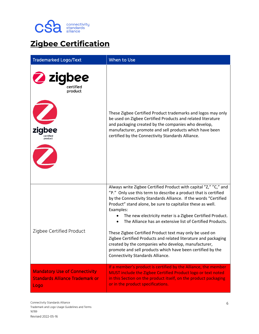

# **Zigbee Certification**

| <b>Trademarked Logo/Text</b>                                                           | When to Use                                                                                                                                                                                                                                                                                                                                                                                                                                                                                                                                                                                                                                                                                      |
|----------------------------------------------------------------------------------------|--------------------------------------------------------------------------------------------------------------------------------------------------------------------------------------------------------------------------------------------------------------------------------------------------------------------------------------------------------------------------------------------------------------------------------------------------------------------------------------------------------------------------------------------------------------------------------------------------------------------------------------------------------------------------------------------------|
| zigbee<br>certified<br>product<br>zigbee<br>product                                    | These Zigbee Certified Product trademarks and logos may only<br>be used on Zigbee Certified Products and related literature<br>and packaging created by the companies who develop,<br>manufacturer, promote and sell products which have been<br>certified by the Connectivity Standards Alliance.                                                                                                                                                                                                                                                                                                                                                                                               |
| Zigbee Certified Product                                                               | Always write Zigbee Certified Product with capital "Z," "C," and<br>"P." Only use this term to describe a product that is certified<br>by the Connectivity Standards Alliance. If the words "Certified<br>Product" stand alone, be sure to capitalize these as well.<br>Examples:<br>The new electricity meter is a Zigbee Certified Product.<br>The Alliance has an extensive list of Certified Products.<br>These Zigbee Certified Product text may only be used on<br>Zigbee Certified Products and related literature and packaging<br>created by the companies who develop, manufacturer,<br>promote and sell products which have been certified by the<br>Connectivity Standards Alliance. |
| <b>Mandatory Use of Connectivity</b><br><b>Standards Alliance Trademark or</b><br>Logo | If a member's product is certified by the Alliance, the member<br>MUST include the Zigbee Certified Product logo or text noted<br>in this Section on the product itself, on the product packaging<br>or in the product specifications.                                                                                                                                                                                                                                                                                                                                                                                                                                                           |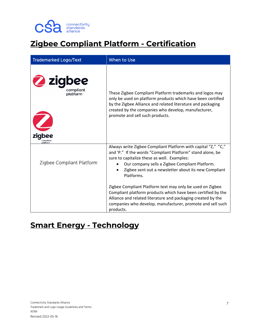

# **Zigbee Compliant Platform - Certification**

| <b>Trademarked Logo/Text</b>                            | When to Use                                                                                                                                                                                                                                                                                                                  |
|---------------------------------------------------------|------------------------------------------------------------------------------------------------------------------------------------------------------------------------------------------------------------------------------------------------------------------------------------------------------------------------------|
| 2 zigbee<br>compliant<br>platform<br>zigbee<br>platform | These Zigbee Compliant Platform trademarks and logos may<br>only be used on platform products which have been certified<br>by the Zigbee Alliance and related literature and packaging<br>created by the companies who develop, manufacturer,<br>promote and sell such products.                                             |
| Zigbee Compliant Platform                               | Always write Zigbee Compliant Platform with capital "Z," "C,"<br>and 'P." If the words "Compliant Platform" stand alone, be<br>sure to capitalize these as well. Examples:<br>Our company sells a Zigbee Compliant Platform.<br>$\bullet$<br>Zigbee sent out a newsletter about its new Compliant<br>$\bullet$<br>Platforms. |
|                                                         | Zigbee Compliant Platform text may only be used on Zigbee<br>Compliant platform products which have been certified by the<br>Alliance and related literature and packaging created by the<br>companies who develop, manufacturer, promote and sell such<br>products.                                                         |

#### **Smart Energy - Technology**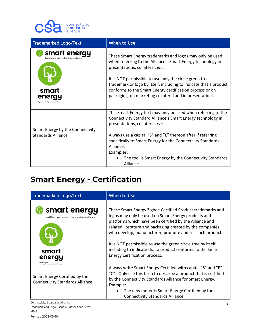

| <b>Trademarked Logo/Text</b>                                          | When to Use                                                                                                                                                                                                                                                                                                                                                                                                        |
|-----------------------------------------------------------------------|--------------------------------------------------------------------------------------------------------------------------------------------------------------------------------------------------------------------------------------------------------------------------------------------------------------------------------------------------------------------------------------------------------------------|
| smart energy<br>by connectivity standards alliance<br>smart<br>energi | These Smart Energy trademarks and logos may only be used<br>when referring to the Alliance's Smart Energy technology in<br>presentations, collateral, etc.<br>It is NOT permissible to use only the circle green tree<br>trademark or logo by itself, including to indicate that a product<br>conforms to the Smart Energy certification process or on<br>packaging, on marketing collateral and in presentations. |
| Smart Energy by the Connectivity<br>Standards Alliance                | This Smart Energy text may only be used when referring to the<br>Connectivity Standard Alliance's Smart Energy technology in<br>presentations, collateral, etc.<br>Always use a capital "S" and "E" thereon after if referring<br>specifically to Smart Energy for the Connectivity Standards<br>Alliance.<br>Examples:<br>The tool is Smart Energy by the Connectivity Standards<br>Alliance.                     |

# **Smart Energy - Certification**

| <b>Trademarked Logo/Text</b>                                                                                                      | When to Use                                                                                                                                                                                                                                                                                                                                                                                                                                                             |
|-----------------------------------------------------------------------------------------------------------------------------------|-------------------------------------------------------------------------------------------------------------------------------------------------------------------------------------------------------------------------------------------------------------------------------------------------------------------------------------------------------------------------------------------------------------------------------------------------------------------------|
| smart energy<br>certified by connectivity standards alliance<br>smart<br>energy<br>certified b<br>connectivitu standards alliance | These Smart Energy Zigbee Certified Product trademarks and<br>logos may only be used on Smart Energy products and<br>platforms which have been certified by the Alliance and<br>related literature and packaging created by the companies<br>who develop, manufacturer, promote and sell such products.<br>It is NOT permissible to use the green circle tree by itself,<br>including to indicate that a product conforms to the Smart<br>Energy certification process. |
| Smart Energy Certified by the<br><b>Connectivity Standards Alliance</b>                                                           | Always write Smart Energy Certified with capital "S" and "E"<br>"C". Only use this term to describe a product that is certified<br>by the Connectivity Standards Alliance for Smart Energy.<br>Example:<br>The new meter is Smart Energy Certified by the<br><b>Connectivity Standards Alliance.</b>                                                                                                                                                                    |

Connectivity Standards Alliance Trademark and Logo Usage Guidelines and Terms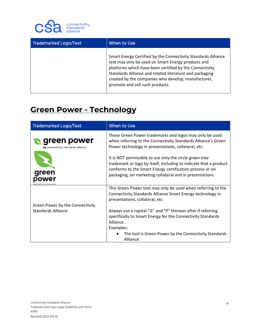

| <b>Trademarked Logo/Text</b> | When to Use                                                                                                                                                                                                                                                                                                                         |
|------------------------------|-------------------------------------------------------------------------------------------------------------------------------------------------------------------------------------------------------------------------------------------------------------------------------------------------------------------------------------|
|                              | Smart Energy Certified by the Connectivity Standards Alliance<br>text may only be used on Smart Energy products and<br>platforms which have been certified by the Connectivity<br>Standards Alliance and related literature and packaging<br>created by the companies who develop, manufacturer,<br>promote and sell such products. |

#### **Green Power - Technology**

| <b>Trademarked Logo/Text</b>                          | When to Use                                                                                                                                                                                                                                          |
|-------------------------------------------------------|------------------------------------------------------------------------------------------------------------------------------------------------------------------------------------------------------------------------------------------------------|
| green power<br>by connectivity standards alliance     | These Green Power trademarks and logos may only be used<br>when referring to the Connectivity Standards Alliance's Green<br>Power technology in presentations, collateral, etc.                                                                      |
|                                                       | It is NOT permissible to use only the circle green tree<br>trademark or logo by itself, including to indicate that a product<br>conforms to the Smart Energy certification process or on<br>packaging, on marketing collateral and in presentations. |
|                                                       | This Green Power text may only be used when referring to the<br>Connectivity Standards Alliance Smart Energy technology in<br>presentations, collateral, etc.                                                                                        |
| Green Power by the Connectivity<br>Standards Alliance | Always use a capital "G" and "P" thereon after if referring<br>specifically to Smart Energy for the Connectivity Standards<br>Alliance.<br>Examples:                                                                                                 |
|                                                       | The tool is Green Power by the Connectivity Standards<br>Alliance.                                                                                                                                                                                   |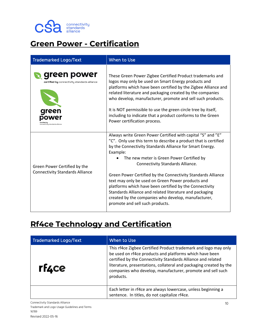

### **Green Power - Certification**

| <b>Trademarked Logo/Text</b>                                                                                  | When to Use                                                                                                                                                                                                                                                                                                                                                                                                                                                                                                                                                                                                                         |
|---------------------------------------------------------------------------------------------------------------|-------------------------------------------------------------------------------------------------------------------------------------------------------------------------------------------------------------------------------------------------------------------------------------------------------------------------------------------------------------------------------------------------------------------------------------------------------------------------------------------------------------------------------------------------------------------------------------------------------------------------------------|
| green power<br><b>certified by</b> connectivity standards alliance<br>green<br>onnectivitu standards alliance | These Green Power Zigbee Certified Product trademarks and<br>logos may only be used on Smart Energy products and<br>platforms which have been certified by the Zigbee Alliance and<br>related literature and packaging created by the companies<br>who develop, manufacturer, promote and sell such products.<br>It is NOT permissible to use the green circle tree by itself,<br>including to indicate that a product conforms to the Green<br>Power certification process.                                                                                                                                                        |
| Green Power Certified by the<br><b>Connectivity Standards Alliance</b>                                        | Always write Green Power Certified with capital "S" and "E"<br>"C". Only use this term to describe a product that is certified<br>by the Connectivity Standards Alliance for Smart Energy.<br>Example:<br>The new meter is Green Power Certified by<br><b>Connectivity Standards Alliance.</b><br>Green Power Certified by the Connectivity Standards Alliance<br>text may only be used on Green Power products and<br>platforms which have been certified by the Connectivity<br>Standards Alliance and related literature and packaging<br>created by the companies who develop, manufacturer,<br>promote and sell such products. |

#### **Rf4ce Technology and Certification**

| <b>Trademarked Logo/Text</b> | When to Use                                                                                                                                                                                                                                                                                                                                 |
|------------------------------|---------------------------------------------------------------------------------------------------------------------------------------------------------------------------------------------------------------------------------------------------------------------------------------------------------------------------------------------|
| rf4ce                        | This rf4ce Zigbee Certified Product trademark and logo may only<br>be used on rf4ce products and platforms which have been<br>certified by the Connectivity Standards Alliance and related<br>literature, presentations, collateral and packaging created by the<br>companies who develop, manufacturer, promote and sell such<br>products. |
|                              | Each letter in rf4ce are always lowercase, unless beginning a<br>sentence. In titles, do not capitalize rf4ce.                                                                                                                                                                                                                              |

Connectivity Standards Alliance Trademark and Logo Usage Guidelines and Terms 16789 Revised 2022-05-16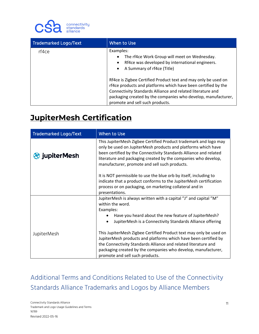

| Trademarked Logo/Text | When to Use                                                                                                                                                                                                                                                                                                                                                                                                                                                                            |
|-----------------------|----------------------------------------------------------------------------------------------------------------------------------------------------------------------------------------------------------------------------------------------------------------------------------------------------------------------------------------------------------------------------------------------------------------------------------------------------------------------------------------|
| rf4ce                 | Examples:<br>The rf4ce Work Group will meet on Wednesday.<br>$\bullet$<br>Rf4ce was developed by international engineers.<br>$\bullet$<br>A Summary of rf4ce (Title)<br>$\bullet$<br>Rf4ce is Zigbee Certified Product text and may only be used on<br>rf4ce products and platforms which have been certified by the<br>Connectivity Standards Alliance and related literature and<br>packaging created by the companies who develop, manufacturer,<br>promote and sell such products. |

#### **JupiterMesh Certification**

| <b>Trademarked Logo/Text</b> | <b>When to Use</b>                                                                                                                                                                                                                                                                                                                    |
|------------------------------|---------------------------------------------------------------------------------------------------------------------------------------------------------------------------------------------------------------------------------------------------------------------------------------------------------------------------------------|
| <b>StripplierMesh</b>        | This JupiterMesh Zigbee Certified Product trademark and logo may<br>only be used on JupiterMesh products and platforms which have<br>been certified by the Connectivity Standards Alliance and related<br>literature and packaging created by the companies who develop,<br>manufacturer, promote and sell such products.             |
|                              | It is NOT permissible to use the blue orb by itself, including to<br>indicate that a product conforms to the JupiterMesh certification<br>process or on packaging, on marketing collateral and in<br>presentations.                                                                                                                   |
|                              | JupiterMesh is always written with a capital "J" and capital "M"<br>within the word.<br>Examples:<br>Have you heard about the new feature of JupiterMesh?                                                                                                                                                                             |
| <b>JupiterMesh</b>           | JupiterMesh is a Connectivity Standards Alliance offering<br>This JupiterMesh Zigbee Certified Product text may only be used on<br>JupiterMesh products and platforms which have been certified by<br>the Connectivity Standards Alliance and related literature and<br>packaging created by the companies who develop, manufacturer, |
|                              | promote and sell such products.                                                                                                                                                                                                                                                                                                       |

Additional Terms and Conditions Related to Use of the Connectivity Standards Alliance Trademarks and Logos by Alliance Members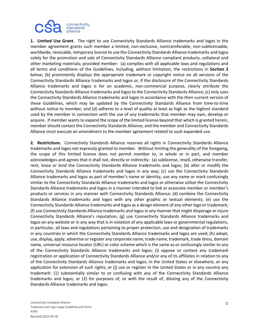

**1. Limited Use Grant**. The right to use Connectivity Standards Alliance trademarks and logos in the member agreement grants such member a limited, non-exclusive, nontransferable, non-sublicensable, worldwide, revocable, temporary license to use the Connectivity Standards Alliance trademarks and logos solely for the promotion and sale of Connectivity Standards Alliance compliant products, collateral and other marketing materials; provided member: (a) complies with all applicable laws and regulations and all terms and conditions of the Guidelines, including, without limitation, the restrictions in **Section 2** below; (b) prominently displays the appropriate trademark or copyright notice on all versions of the Connectivity Standards Alliance trademarks and logos or, if the disclosure of the Connectivity Standards Alliance trademarks and logos is for an academic, non-commercial purpose, clearly attribute the Connectivity Standards Alliance trademarks and logos to the Connectivity Standards Alliance; (c) only uses the Connectivity Standards Alliance trademarks and logos in accordance with the then-current version of these Guidelines, which may be updated by the Connectivity Standards Alliance from time-to-time without notice to member; and (d) adheres to a level of quality at least as high as the highest standard used by the member in connection with the use of any trademarks that member may own, develop or acquire. If member wants to expand the scope of the limited license beyond that which is granted herein, member should contact the Connectivity Standards Alliance, and the member and Connectivity Standards Alliance must execute an amendment to the member agreement related to such expanded use.

**2. Restrictions**. Connectivity Standards Alliance reserves all rights in Connectivity Standards Alliance trademarks and logos not expressly granted to member. Without limiting the generality of the foregoing, the scope of this limited license does not permit member to, in whole or in part, and member acknowledges and agrees that it shall not, directly or indirectly: (a) sublicense, resell, otherwise transfer, rent, lease or lend the Connectivity Standards Alliance trademarks and logos; (b) alter or modify the Connectivity Standards Alliance trademarks and logos in any way; (c) use the Connectivity Standards Alliance trademarks and logos as part of member's name or identity, use any name or mark confusingly similar to the Connectivity Standards Alliance trademarks and logos or otherwise utilize the Connectivity Standards Alliance trademarks and logos in a manner intended to link or associate member or member's products or services in any manner with Connectivity Standards Alliance; (d) combine the Connectivity Standards Alliance trademarks and logos with any other graphic or textual elements; (e) use the Connectivity Standards Alliance trademarks and logos as a design element of any other logo or trademark; (f) use Connectivity Standards Alliance trademarks and logos in any manner that might disparage or injure Connectivity Standards Alliance's reputation; (g) use Connectivity Standards Alliance trademarks and logos on any website or in any way that is in violation of any applicable laws or governmental regulations, in particular, all laws and regulations pertaining to proper protection, use and designation of trademarks in any countries in which the Connectivity Standards Alliance trademarks and logos are used; (h) adopt, use, display, apply, advertise or register any corporate name, trade name, trademark, trade dress, domain name, universal resource locator (URL) or color scheme which is the same as or confusingly similar to any of the Connectivity Standards Alliance trademarks and logos; (i) oppose or contest any trademark registration or application of Connectivity Standards Alliance and/or any of its affiliates in relation to any of the Connectivity Standards Alliance trademarks and logos, in the United States or elsewhere, or any application for extension of such rights; or (j) use or register in the United States or in any country any trademark: (1) substantially similar to or confusing with any of the Connectivity Standards Alliance trademarks and logos; or (2) for purposes of, or with the result of, diluting any of the Connectivity Standards Alliance trademarks and logos.